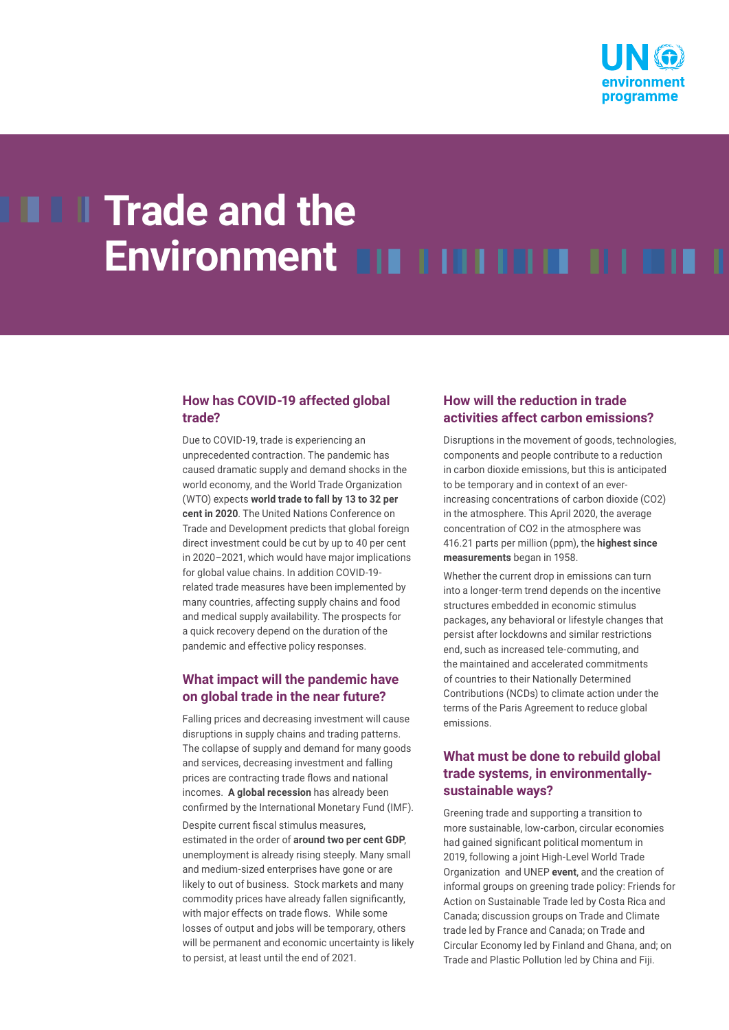

# **THE Trade and the** Environment **HII HII HII HII HIII**

### **How has COVID-19 affected global trade?**

Due to COVID-19, trade is experiencing an unprecedented contraction. The pandemic has caused dramatic supply and demand shocks in the world economy, and the World Trade Organization (WTO) expects **[world trade to fall by 13 to 32 per](https://www.wto.org/english/news_e/pres20_e/pr855_e.htm)  [cent in 2020](https://www.wto.org/english/news_e/pres20_e/pr855_e.htm)**. The United Nations Conference on Trade and Development predicts that global foreign direct investment could be cut by [up to 40 per cent](https://unctad.org/en/pages/newsdetails.aspx?OriginalVersionID=2313&utm_source=CIO+-%20%20%20+General+public&utm_campaign=0fa89ab0a6-EMAIL_CAMPAIGN_2019_05_17_11_42_COPY_01&utm_medium=email&utm_term=0_3d334fa428-0fa89ab0a6-70616733%203%20https://www.wto.org/english/tratop_e/covid19_e/covid19_e.htm)  in 2020–2021, which would have major implications for global value chains. In addition COVID-19 related trade measures have been implemented by many countries, affecting supply chains and food and medical supply availability. The prospects for a quick recovery depend on the duration of the pandemic and effective policy responses.

#### **What impact will the pandemic have on global trade in the near future?**

Falling prices and decreasing investment will cause disruptions in supply chains and trading patterns. The collapse of supply and demand for many goods and services, decreasing investment and falling prices are contracting trade flows and national incomes. **[A global recession](https://blogs.imf.org/2020/04/14/the-great-lockdown-worst-economic-downturn-since-the-great-depression/)** has already been confirmed by the International Monetary Fund (IMF).

Despite current fiscal stimulus measures, estimated in the order of **[around two per cent GDP](https://www.ubs.com/global/en/investment-bank/in-focus/2020/global-stimulus.html)**, unemployment is already rising steeply. Many small and medium-sized enterprises have gone or are likely to out of business. Stock markets and many commodity prices have already fallen significantly, with major effects on trade flows. While some losses of output and jobs will be temporary, others will be permanent and economic uncertainty is likely to persist, at least until the end of 2021.

### **How will the reduction in trade activities affect carbon emissions?**

Disruptions in the movement of goods, technologies, components and people contribute to a reduction in carbon dioxide emissions, but this is anticipated to be temporary and in context of an everincreasing concentrations of carbon dioxide (CO2) in the atmosphere. This April 2020, the average concentration of CO2 in the atmosphere was 416.21 parts per million (ppm), the **[highest since](file:///C:\Users\carolynwilliamsgerdes\Downloads\In%20April%202020%20the%20average%20concentration%20of%20CO2%20in%20the%20atmosphere%20was416.21%20parts%20per%20million%20(ppm),%20the%20highest%20since%20measurements%20began%20in%20Hawaii%20in%201958)  [measurements](file:///C:\Users\carolynwilliamsgerdes\Downloads\In%20April%202020%20the%20average%20concentration%20of%20CO2%20in%20the%20atmosphere%20was416.21%20parts%20per%20million%20(ppm),%20the%20highest%20since%20measurements%20began%20in%20Hawaii%20in%201958)** began in 1958.

Whether the current drop in emissions can turn into a longer-term trend depends on the incentive structures embedded in economic stimulus packages, any behavioral or lifestyle changes that persist after lockdowns and similar restrictions end, such as increased tele-commuting, and the maintained and accelerated commitments of countries to their Nationally Determined Contributions (NCDs) to climate action under the terms of the Paris Agreement to reduce global emissions.

#### **What must be done to rebuild global trade systems, in environmentallysustainable ways?**

Greening trade and supporting a transition to more sustainable, low-carbon, circular economies had gained significant political momentum in 2019, following a joint High-Level World Trade Organization and UNEP **event**, and the creation of informal groups on greening trade policy: Friends for Action on Sustainable Trade led by Costa Rica and Canada; discussion groups on Trade and Climate trade led by France and Canada; on Trade and Circular Economy led by Finland and Ghana, and; on Trade and Plastic Pollution led by China and Fiji.